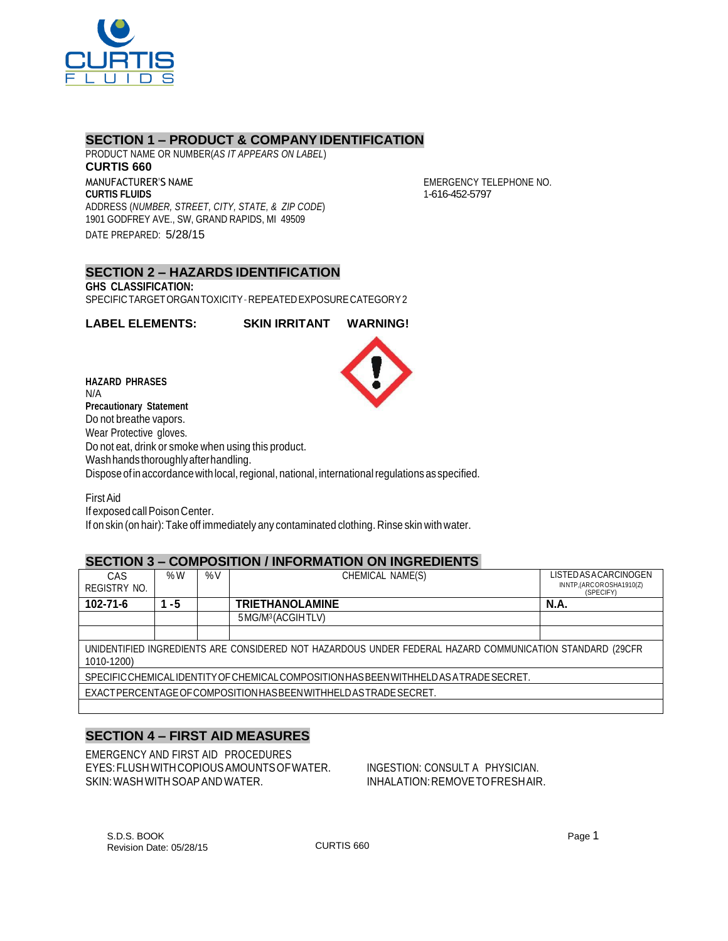

# **SECTION 1 – PRODUCT & COMPANY IDENTIFICATION**

PRODUCT NAME OR NUMBER(*AS IT APPEARS ON LABEL*) **CURTIS 660** MANUFACTURER'S NAME **CURTIS FLUIDS** ADDRESS (*NUMBER, STREET, CITY, STATE, & ZIP CODE*) 1901 GODFREY AVE., SW, GRAND RAPIDS, MI 49509 DATE PREPARED: 5/28/15

EMERGENCY TELEPHONE NO. 1-616-452-5797

### **SECTION 2 – HAZARDS IDENTIFICATION GHS CLASSIFICATION:**

SPECIFICTARGETORGANTOXICITY–REPEATEDEXPOSURECATEGORY2

**LABEL ELEMENTS: SKIN IRRITANT WARNING!**



**HAZARD PHRASES** N/A **Precautionary Statement** Do not breathe vapors. Wear Protective gloves. Do not eat, drink or smoke when using this product. Washhandsthoroughlyafterhandling. Dispose of in accordance with local, regional, national, international regulations as specified.

FirstAid

If exposed callPoison Center.

If on skin (on hair): Take off immediately any contaminated clothing. Rinse skin with water.

# **SECTION 3 – COMPOSITION / INFORMATION ON INGREDIENTS**

| CAS<br>REGISTRY NO.                                                                                                    | % $W$   | %V | CHEMICAL NAME(S)               | LISTED AS ACARCINOGEN<br>INNTP,(ARCOROSHA1910(Z)<br>(SPECIFY) |  |  |
|------------------------------------------------------------------------------------------------------------------------|---------|----|--------------------------------|---------------------------------------------------------------|--|--|
| 102-71-6                                                                                                               | -5<br>1 |    | <b>TRIETHANOLAMINE</b>         | <b>N.A.</b>                                                   |  |  |
|                                                                                                                        |         |    | 5 MG/M <sup>3</sup> (ACGIHTLV) |                                                               |  |  |
|                                                                                                                        |         |    |                                |                                                               |  |  |
| UNIDENTIFIED INGREDIENTS ARE CONSIDERED NOT HAZARDOUS UNDER FEDERAL HAZARD COMMUNICATION STANDARD (29CFR<br>1010-1200) |         |    |                                |                                                               |  |  |
| SPECIFIC CHEMICAL IDENTITY OF CHEMICAL COMPOSITION HAS BEEN WITHHELD AS A TRADE SECRET.                                |         |    |                                |                                                               |  |  |
| EXACTPERCENTAGE OF COMPOSITION HAS BEEN WITH HELD AS TRADE SECRET.                                                     |         |    |                                |                                                               |  |  |
|                                                                                                                        |         |    |                                |                                                               |  |  |

# **SECTION 4 – FIRST AID MEASURES**

EMERGENCY AND FIRST AID PROCEDURES EYES:FLUSHWITHCOPIOUSAMOUNTSOFWATER. INGESTION: CONSULT A PHYSICIAN. SKIN: WASH WITH SOAP AND WATER. IN THE INHALATION: REMOVE TO FRESHAIR.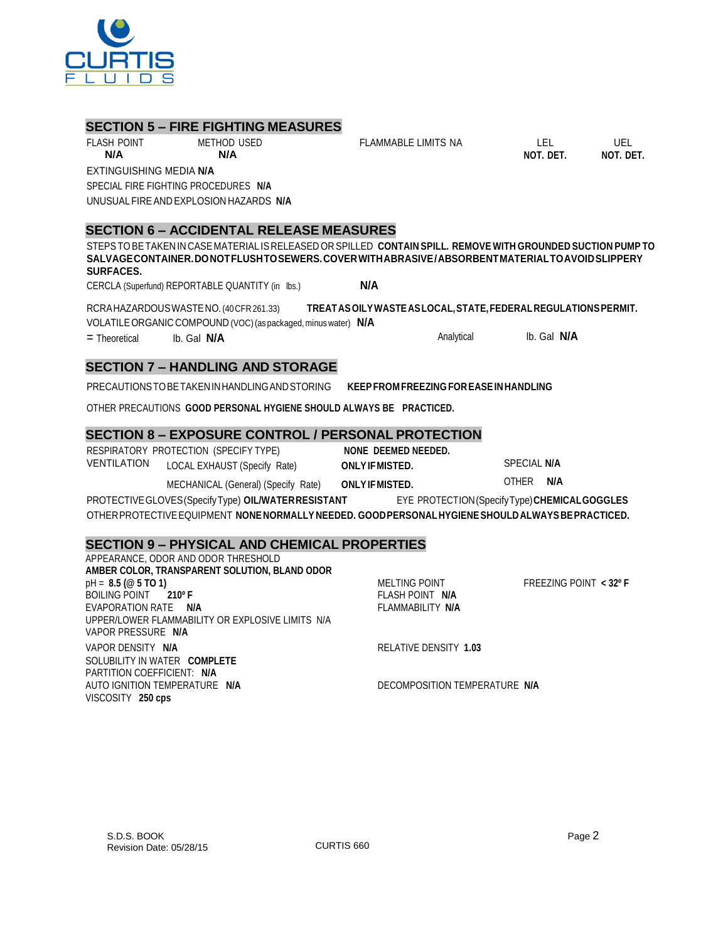APPEARANCE, ODOR AND ODOR THRESHOLD **AMBER COLOR, TRANSPARENT SOLUTION, BLAND ODOR** pH = **8.5 (@ 5 TO 1)** MELTING POINT FREEZING POINT **< 32º F** BOILING POINT **210º F** FLASH POINT **N/A** EVAPORATION RATE **N/A** FLAMMABILITY **N/A** UPPER/LOWER FLAMMABILITY OR EXPLOSIVE LIMITS N/A VAPOR PRESSURE **N/A** VAPOR DENSITY **N/A** RELATIVE DENSITY 1.03 SOLUBILITY IN WATER **COMPLETE** PARTITION COEFFICIENT: **N/A** AUTO IGNITION TEMPERATURE **N/A** DECOMPOSITION TEMPERATURE **N/A** VISCOSITY **250 cps**

### PROTECTIVEGLOVES(SpecifyType) **OIL/WATERRESISTANT** EYE PROTECTION(SpecifyType)**CHEMICALGOGGLES** OTHERPROTECTIVEEQUIPMENT **NONENORMALLY NEEDED. GOODPERSONALHYGIENESHOULDALWAYSBEPRACTICED.**

**SECTION 9 – PHYSICAL AND CHEMICAL PROPERTIES**

| SECTION 6 - EAPOSURE CONTROL / PERSONAL PROT |  |
|----------------------------------------------|--|
|                                              |  |

|                    | RESPIRATORY PROTECTION (SPECIFY TYPE) |
|--------------------|---------------------------------------|
|                    |                                       |
| <b>VENTILATION</b> | LOCAL EXHAUST (Specify Rate)          |
|                    |                                       |

| tion | LOCAL EXHAUST (Specify Rate)        | <b>ONLY IF MISTED.</b> |              | SPECIAL N/A |  |
|------|-------------------------------------|------------------------|--------------|-------------|--|
|      | MECHANICAL (General) (Specify Rate) | <b>ONLY IF MISTED.</b> | <b>OTHER</b> | N/A         |  |

# **SECTION 7 – HANDLING AND STORAGE**

**SECTION 5 – FIRE FIGHTING MEASURES**

FLASH POINT METHOD USED **N/A N/A**

SPECIAL FIRE FIGHTING PROCEDURES **N/A** UNUSUALFIREAND EXPLOSION HAZARDS **N/A**

EXTINGUISHING MEDIA **N/A**

PRECAUTIONSTOBETAKENINHANDLINGANDSTORING **KEEPFROM FREEZING FOREASEINHANDLING**

= Theoretical lb. Gal **N/A** Analytical lb. Gal **N/A**

OTHER PRECAUTIONS **GOOD PERSONAL HYGIENE SHOULD ALWAYS BE PRACTICED.**

# **SECTION 8 – EXPOSURE CONTROL / PERSONAL PROTECTION**

RESPIRATORY PROTECTION (SPECIFY TYPE) **NONE DEEMED NEEDED.**

**SECTION 6 – ACCIDENTAL RELEASE MEASURES**

CERCLA (Superfund) REPORTABLE QUANTITY (in lbs.) **N/A**

VOLATILEORGANIC COMPOUND (VOC)(as packaged, minus water) **N/A**

VENTILATION LOCAL EXHAUST (Specify Rate) **ONLYIFMISTED.** SPECIAL **N/A**

**SALVAGECONTAINER.DONOTFLUSHTOSEWERS.COVERWITHABRASIVE/ABSORBENTMATERIALTOAVOIDSLIPPERY**

RCRAHAZARDOUSWASTENO.(40CFR261.33) **TREATASOILYWASTEASLOCAL,STATE,FEDERALREGULATIONSPERMIT.**

STEPSTOBETAKEN IN CASE MATERIAL IS RELEASED OR SPILLED **CONTAIN SPILL. REMOVE WITH GROUNDED SUCTION PUMP TO**

FLAMMABLE LIMITS NA LEL UEL

**NOT. DET. NOT. DET.**



**SURFACES.**